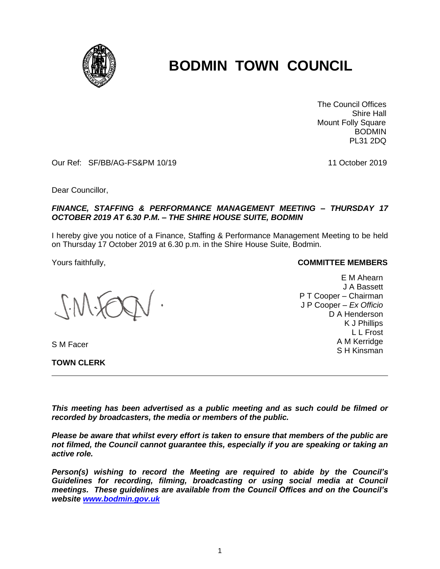

# **BODMIN TOWN COUNCIL**

 The Council Offices Shire Hall Mount Folly Square BODMIN PL31 2DQ

Our Ref: SF/BB/AG-FS&PM 10/19 11 October 2019

Dear Councillor,

### *FINANCE, STAFFING & PERFORMANCE MANAGEMENT MEETING – THURSDAY 17 OCTOBER 2019 AT 6.30 P.M. – THE SHIRE HOUSE SUITE, BODMIN*

I hereby give you notice of a Finance, Staffing & Performance Management Meeting to be held on Thursday 17 October 2019 at 6.30 p.m. in the Shire House Suite, Bodmin.

S M Facer

**TOWN CLERK**

#### Yours faithfully, **COMMITTEE MEMBERS**

E M Ahearn J A Bassett P T Cooper – Chairman J P Cooper – *Ex Officio* D A Henderson K J Phillips L L Frost A M Kerridge S H Kinsman

*This meeting has been advertised as a public meeting and as such could be filmed or recorded by broadcasters, the media or members of the public.*

*Please be aware that whilst every effort is taken to ensure that members of the public are not filmed, the Council cannot guarantee this, especially if you are speaking or taking an active role.*

*Person(s) wishing to record the Meeting are required to abide by the Council's Guidelines for recording, filming, broadcasting or using social media at Council meetings. These guidelines are available from the Council Offices and on the Council's website [www.bodmin.gov.uk](http://www.bodmin.gov.uk/)*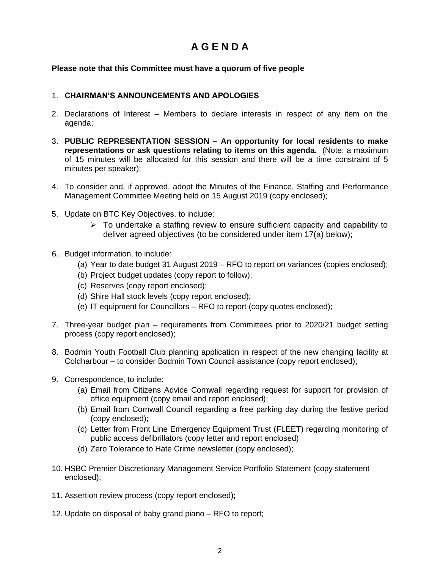# **A G E N D A**

## **Please note that this Committee must have a quorum of five people**

## 1. **CHAIRMAN'S ANNOUNCEMENTS AND APOLOGIES**

- 2. Declarations of Interest Members to declare interests in respect of any item on the agenda;
- 3. **PUBLIC REPRESENTATION SESSION – An opportunity for local residents to make representations or ask questions relating to items on this agenda.** (Note: a maximum of 15 minutes will be allocated for this session and there will be a time constraint of 5 minutes per speaker);
- 4. To consider and, if approved, adopt the Minutes of the Finance, Staffing and Performance Management Committee Meeting held on 15 August 2019 (copy enclosed);
- 5. Update on BTC Key Objectives, to include:
	- ➢ To undertake a staffing review to ensure sufficient capacity and capability to deliver agreed objectives (to be considered under item 17(a) below);
- 6. Budget information, to include:
	- (a) Year to date budget 31 August 2019 RFO to report on variances (copies enclosed);
	- (b) Project budget updates (copy report to follow);
	- (c) Reserves (copy report enclosed);
	- (d) Shire Hall stock levels (copy report enclosed);
	- (e) IT equipment for Councillors RFO to report (copy quotes enclosed);
- 7. Three-year budget plan requirements from Committees prior to 2020/21 budget setting process (copy report enclosed);
- 8. Bodmin Youth Football Club planning application in respect of the new changing facility at Coldharbour – to consider Bodmin Town Council assistance (copy report enclosed);
- 9. Correspondence, to include:
	- (a) Email from Citizens Advice Cornwall regarding request for support for provision of office equipment (copy email and report enclosed);
	- (b) Email from Cornwall Council regarding a free parking day during the festive period (copy enclosed);
	- (c) Letter from Front Line Emergency Equipment Trust (FLEET) regarding monitoring of public access defibrillators (copy letter and report enclosed)
	- (d) Zero Tolerance to Hate Crime newsletter (copy enclosed);
- 10. HSBC Premier Discretionary Management Service Portfolio Statement (copy statement enclosed);
- 11. Assertion review process (copy report enclosed);
- 12. Update on disposal of baby grand piano RFO to report;